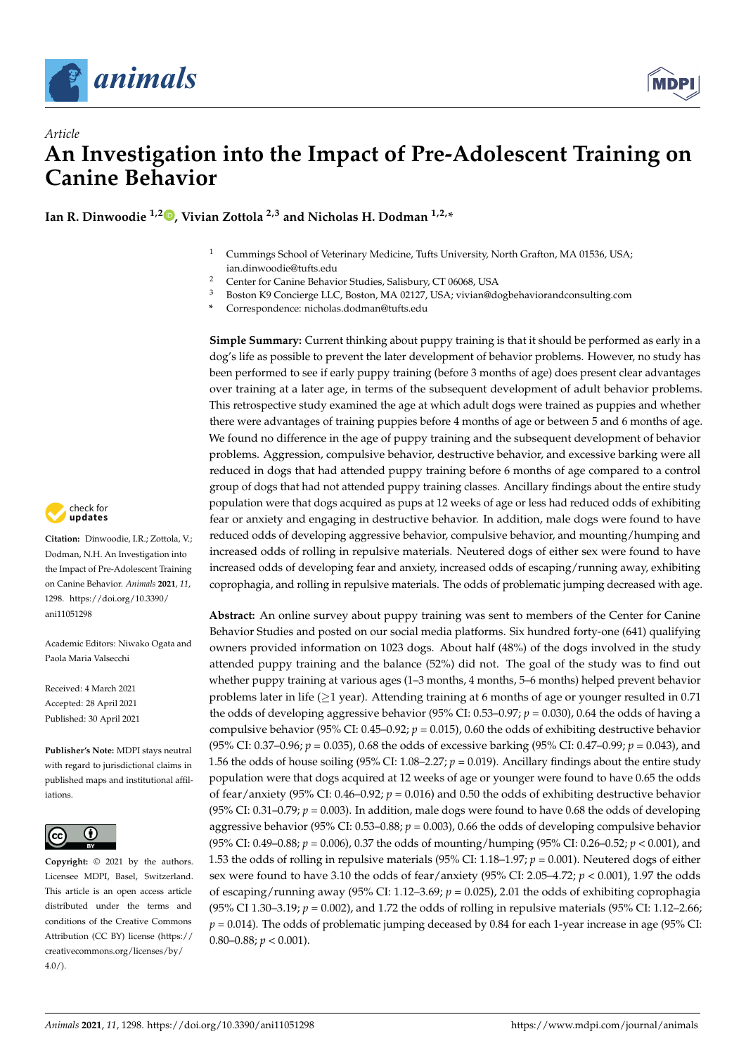



# *Article* **An Investigation into the Impact of Pre-Adolescent Training on Canine Behavior**

**Ian R. Dinwoodie 1,2 [,](https://orcid.org/0000-0002-3841-2970) Vivian Zottola 2,3 and Nicholas H. Dodman 1,2,\***

- <sup>1</sup> Cummings School of Veterinary Medicine, Tufts University, North Grafton, MA 01536, USA; ian.dinwoodie@tufts.edu
- <sup>2</sup> Center for Canine Behavior Studies, Salisbury, CT 06068, USA<br><sup>3</sup> Besten *V*.0 Cancings LLC, Besten, MA 02127, USA virian@d
- <sup>3</sup> Boston K9 Concierge LLC, Boston, MA 02127, USA; vivian@dogbehaviorandconsulting.com
- **\*** Correspondence: nicholas.dodman@tufts.edu

**Simple Summary:** Current thinking about puppy training is that it should be performed as early in a dog's life as possible to prevent the later development of behavior problems. However, no study has been performed to see if early puppy training (before 3 months of age) does present clear advantages over training at a later age, in terms of the subsequent development of adult behavior problems. This retrospective study examined the age at which adult dogs were trained as puppies and whether there were advantages of training puppies before 4 months of age or between 5 and 6 months of age. We found no difference in the age of puppy training and the subsequent development of behavior problems. Aggression, compulsive behavior, destructive behavior, and excessive barking were all reduced in dogs that had attended puppy training before 6 months of age compared to a control group of dogs that had not attended puppy training classes. Ancillary findings about the entire study population were that dogs acquired as pups at 12 weeks of age or less had reduced odds of exhibiting fear or anxiety and engaging in destructive behavior. In addition, male dogs were found to have reduced odds of developing aggressive behavior, compulsive behavior, and mounting/humping and increased odds of rolling in repulsive materials. Neutered dogs of either sex were found to have increased odds of developing fear and anxiety, increased odds of escaping/running away, exhibiting coprophagia, and rolling in repulsive materials. The odds of problematic jumping decreased with age.

**Abstract:** An online survey about puppy training was sent to members of the Center for Canine Behavior Studies and posted on our social media platforms. Six hundred forty-one (641) qualifying owners provided information on 1023 dogs. About half (48%) of the dogs involved in the study attended puppy training and the balance (52%) did not. The goal of the study was to find out whether puppy training at various ages (1–3 months, 4 months, 5–6 months) helped prevent behavior problems later in life ( $\geq$ 1 year). Attending training at 6 months of age or younger resulted in 0.71 the odds of developing aggressive behavior (95% CI: 0.53–0.97; *p* = 0.030), 0.64 the odds of having a compulsive behavior (95% CI: 0.45–0.92; *p* = 0.015), 0.60 the odds of exhibiting destructive behavior (95% CI: 0.37–0.96; *p* = 0.035), 0.68 the odds of excessive barking (95% CI: 0.47–0.99; *p* = 0.043), and 1.56 the odds of house soiling (95% CI:  $1.08-2.27$ ;  $p = 0.019$ ). Ancillary findings about the entire study population were that dogs acquired at 12 weeks of age or younger were found to have 0.65 the odds of fear/anxiety (95% CI: 0.46–0.92; *p* = 0.016) and 0.50 the odds of exhibiting destructive behavior ( $95\%$  CI:  $0.31-0.79$ ;  $p = 0.003$ ). In addition, male dogs were found to have 0.68 the odds of developing aggressive behavior (95% CI: 0.53–0.88; *p* = 0.003), 0.66 the odds of developing compulsive behavior (95% CI: 0.49–0.88; *p* = 0.006), 0.37 the odds of mounting/humping (95% CI: 0.26–0.52; *p* < 0.001), and 1.53 the odds of rolling in repulsive materials (95% CI: 1.18–1.97; *p* = 0.001). Neutered dogs of either sex were found to have 3.10 the odds of fear/anxiety (95% CI: 2.05–4.72; *p* < 0.001), 1.97 the odds of escaping/running away (95% CI: 1.12–3.69; *p* = 0.025), 2.01 the odds of exhibiting coprophagia (95% CI 1.30–3.19; *p* = 0.002), and 1.72 the odds of rolling in repulsive materials (95% CI: 1.12–2.66;  $p = 0.014$ ). The odds of problematic jumping deceased by 0.84 for each 1-year increase in age (95% CI: 0.80–0.88;  $p < 0.001$ ).



**Citation:** Dinwoodie, I.R.; Zottola, V.; Dodman, N.H. An Investigation into the Impact of Pre-Adolescent Training on Canine Behavior. *Animals* **2021**, *11*, 1298. [https://doi.org/10.3390/](https://doi.org/10.3390/ani11051298) [ani11051298](https://doi.org/10.3390/ani11051298)

Academic Editors: Niwako Ogata and Paola Maria Valsecchi

Received: 4 March 2021 Accepted: 28 April 2021 Published: 30 April 2021

**Publisher's Note:** MDPI stays neutral with regard to jurisdictional claims in published maps and institutional affiliations.



**Copyright:** © 2021 by the authors. Licensee MDPI, Basel, Switzerland. This article is an open access article distributed under the terms and conditions of the Creative Commons Attribution (CC BY) license (https:/[/](https://creativecommons.org/licenses/by/4.0/) [creativecommons.org/licenses/by/](https://creativecommons.org/licenses/by/4.0/)  $4.0/$ ).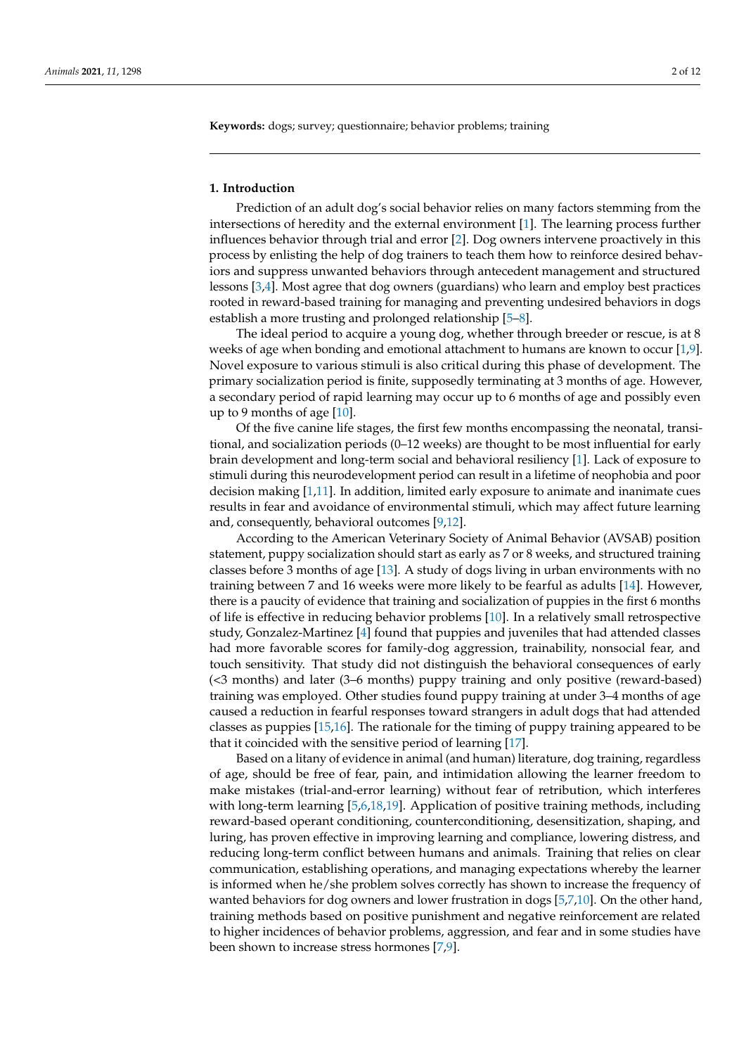**Keywords:** dogs; survey; questionnaire; behavior problems; training

#### **1. Introduction**

Prediction of an adult dog's social behavior relies on many factors stemming from the intersections of heredity and the external environment [\[1\]](#page-10-0). The learning process further influences behavior through trial and error [\[2\]](#page-10-1). Dog owners intervene proactively in this process by enlisting the help of dog trainers to teach them how to reinforce desired behaviors and suppress unwanted behaviors through antecedent management and structured lessons [\[3](#page-10-2)[,4\]](#page-10-3). Most agree that dog owners (guardians) who learn and employ best practices rooted in reward-based training for managing and preventing undesired behaviors in dogs establish a more trusting and prolonged relationship [\[5](#page-10-4)[–8\]](#page-10-5).

The ideal period to acquire a young dog, whether through breeder or rescue, is at 8 weeks of age when bonding and emotional attachment to humans are known to occur [\[1](#page-10-0)[,9\]](#page-10-6). Novel exposure to various stimuli is also critical during this phase of development. The primary socialization period is finite, supposedly terminating at 3 months of age. However, a secondary period of rapid learning may occur up to 6 months of age and possibly even up to 9 months of age [\[10\]](#page-10-7).

Of the five canine life stages, the first few months encompassing the neonatal, transitional, and socialization periods (0–12 weeks) are thought to be most influential for early brain development and long-term social and behavioral resiliency [\[1\]](#page-10-0). Lack of exposure to stimuli during this neurodevelopment period can result in a lifetime of neophobia and poor decision making [\[1,](#page-10-0)[11\]](#page-10-8). In addition, limited early exposure to animate and inanimate cues results in fear and avoidance of environmental stimuli, which may affect future learning and, consequently, behavioral outcomes [\[9](#page-10-6)[,12\]](#page-10-9).

According to the American Veterinary Society of Animal Behavior (AVSAB) position statement, puppy socialization should start as early as 7 or 8 weeks, and structured training classes before 3 months of age [\[13\]](#page-10-10). A study of dogs living in urban environments with no training between 7 and 16 weeks were more likely to be fearful as adults [\[14\]](#page-10-11). However, there is a paucity of evidence that training and socialization of puppies in the first 6 months of life is effective in reducing behavior problems [\[10\]](#page-10-7). In a relatively small retrospective study, Gonzalez-Martinez [\[4\]](#page-10-3) found that puppies and juveniles that had attended classes had more favorable scores for family-dog aggression, trainability, nonsocial fear, and touch sensitivity. That study did not distinguish the behavioral consequences of early (<3 months) and later (3–6 months) puppy training and only positive (reward-based) training was employed. Other studies found puppy training at under 3–4 months of age caused a reduction in fearful responses toward strangers in adult dogs that had attended classes as puppies [\[15,](#page-10-12)[16\]](#page-10-13). The rationale for the timing of puppy training appeared to be that it coincided with the sensitive period of learning [\[17\]](#page-10-14).

Based on a litany of evidence in animal (and human) literature, dog training, regardless of age, should be free of fear, pain, and intimidation allowing the learner freedom to make mistakes (trial-and-error learning) without fear of retribution, which interferes with long-term learning [\[5,](#page-10-4)[6,](#page-10-15)[18,](#page-10-16)[19\]](#page-10-17). Application of positive training methods, including reward-based operant conditioning, counterconditioning, desensitization, shaping, and luring, has proven effective in improving learning and compliance, lowering distress, and reducing long-term conflict between humans and animals. Training that relies on clear communication, establishing operations, and managing expectations whereby the learner is informed when he/she problem solves correctly has shown to increase the frequency of wanted behaviors for dog owners and lower frustration in dogs [\[5,](#page-10-4)[7,](#page-10-18)[10\]](#page-10-7). On the other hand, training methods based on positive punishment and negative reinforcement are related to higher incidences of behavior problems, aggression, and fear and in some studies have been shown to increase stress hormones [\[7](#page-10-18)[,9\]](#page-10-6).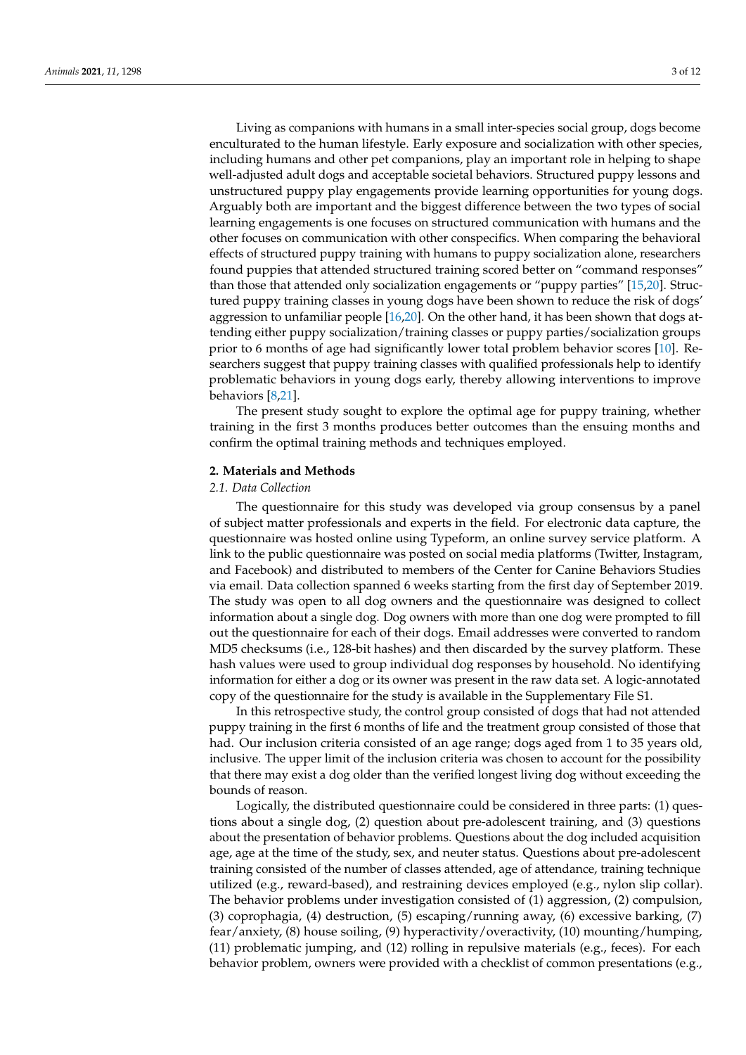Living as companions with humans in a small inter-species social group, dogs become enculturated to the human lifestyle. Early exposure and socialization with other species, including humans and other pet companions, play an important role in helping to shape well-adjusted adult dogs and acceptable societal behaviors. Structured puppy lessons and unstructured puppy play engagements provide learning opportunities for young dogs. Arguably both are important and the biggest difference between the two types of social learning engagements is one focuses on structured communication with humans and the other focuses on communication with other conspecifics. When comparing the behavioral effects of structured puppy training with humans to puppy socialization alone, researchers found puppies that attended structured training scored better on "command responses" than those that attended only socialization engagements or "puppy parties" [\[15](#page-10-12)[,20\]](#page-10-19). Structured puppy training classes in young dogs have been shown to reduce the risk of dogs' aggression to unfamiliar people [\[16,](#page-10-13)[20\]](#page-10-19). On the other hand, it has been shown that dogs attending either puppy socialization/training classes or puppy parties/socialization groups prior to 6 months of age had significantly lower total problem behavior scores [\[10\]](#page-10-7). Researchers suggest that puppy training classes with qualified professionals help to identify problematic behaviors in young dogs early, thereby allowing interventions to improve behaviors [\[8,](#page-10-5)[21\]](#page-10-20).

The present study sought to explore the optimal age for puppy training, whether training in the first 3 months produces better outcomes than the ensuing months and confirm the optimal training methods and techniques employed.

# **2. Materials and Methods**

### *2.1. Data Collection*

The questionnaire for this study was developed via group consensus by a panel of subject matter professionals and experts in the field. For electronic data capture, the questionnaire was hosted online using Typeform, an online survey service platform. A link to the public questionnaire was posted on social media platforms (Twitter, Instagram, and Facebook) and distributed to members of the Center for Canine Behaviors Studies via email. Data collection spanned 6 weeks starting from the first day of September 2019. The study was open to all dog owners and the questionnaire was designed to collect information about a single dog. Dog owners with more than one dog were prompted to fill out the questionnaire for each of their dogs. Email addresses were converted to random MD5 checksums (i.e., 128-bit hashes) and then discarded by the survey platform. These hash values were used to group individual dog responses by household. No identifying information for either a dog or its owner was present in the raw data set. A logic-annotated copy of the questionnaire for the study is available in the Supplementary File S1.

In this retrospective study, the control group consisted of dogs that had not attended puppy training in the first 6 months of life and the treatment group consisted of those that had. Our inclusion criteria consisted of an age range; dogs aged from 1 to 35 years old, inclusive. The upper limit of the inclusion criteria was chosen to account for the possibility that there may exist a dog older than the verified longest living dog without exceeding the bounds of reason.

Logically, the distributed questionnaire could be considered in three parts: (1) questions about a single dog, (2) question about pre-adolescent training, and (3) questions about the presentation of behavior problems. Questions about the dog included acquisition age, age at the time of the study, sex, and neuter status. Questions about pre-adolescent training consisted of the number of classes attended, age of attendance, training technique utilized (e.g., reward-based), and restraining devices employed (e.g., nylon slip collar). The behavior problems under investigation consisted of (1) aggression, (2) compulsion, (3) coprophagia, (4) destruction, (5) escaping/running away, (6) excessive barking, (7) fear/anxiety, (8) house soiling, (9) hyperactivity/overactivity, (10) mounting/humping, (11) problematic jumping, and (12) rolling in repulsive materials (e.g., feces). For each behavior problem, owners were provided with a checklist of common presentations (e.g.,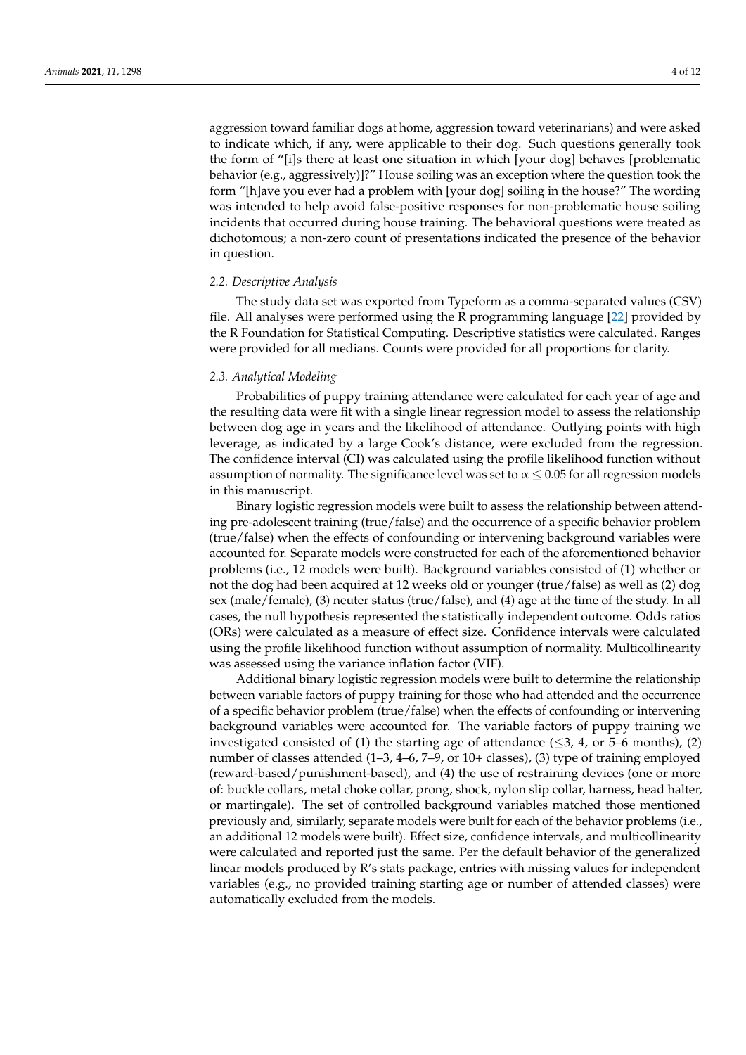aggression toward familiar dogs at home, aggression toward veterinarians) and were asked to indicate which, if any, were applicable to their dog. Such questions generally took the form of "[i]s there at least one situation in which [your dog] behaves [problematic behavior (e.g., aggressively)]?" House soiling was an exception where the question took the form "[h]ave you ever had a problem with [your dog] soiling in the house?" The wording was intended to help avoid false-positive responses for non-problematic house soiling incidents that occurred during house training. The behavioral questions were treated as dichotomous; a non-zero count of presentations indicated the presence of the behavior in question.

#### *2.2. Descriptive Analysis*

The study data set was exported from Typeform as a comma-separated values (CSV) file. All analyses were performed using the R programming language [\[22\]](#page-10-21) provided by the R Foundation for Statistical Computing. Descriptive statistics were calculated. Ranges were provided for all medians. Counts were provided for all proportions for clarity.

## *2.3. Analytical Modeling*

Probabilities of puppy training attendance were calculated for each year of age and the resulting data were fit with a single linear regression model to assess the relationship between dog age in years and the likelihood of attendance. Outlying points with high leverage, as indicated by a large Cook's distance, were excluded from the regression. The confidence interval (CI) was calculated using the profile likelihood function without assumption of normality. The significance level was set to  $\alpha \leq 0.05$  for all regression models in this manuscript.

Binary logistic regression models were built to assess the relationship between attending pre-adolescent training (true/false) and the occurrence of a specific behavior problem (true/false) when the effects of confounding or intervening background variables were accounted for. Separate models were constructed for each of the aforementioned behavior problems (i.e., 12 models were built). Background variables consisted of (1) whether or not the dog had been acquired at 12 weeks old or younger (true/false) as well as (2) dog sex (male/female), (3) neuter status (true/false), and (4) age at the time of the study. In all cases, the null hypothesis represented the statistically independent outcome. Odds ratios (ORs) were calculated as a measure of effect size. Confidence intervals were calculated using the profile likelihood function without assumption of normality. Multicollinearity was assessed using the variance inflation factor (VIF).

Additional binary logistic regression models were built to determine the relationship between variable factors of puppy training for those who had attended and the occurrence of a specific behavior problem (true/false) when the effects of confounding or intervening background variables were accounted for. The variable factors of puppy training we investigated consisted of (1) the starting age of attendance ( $\leq$ 3, 4, or 5–6 months), (2) number of classes attended (1–3, 4–6, 7–9, or 10+ classes), (3) type of training employed (reward-based/punishment-based), and (4) the use of restraining devices (one or more of: buckle collars, metal choke collar, prong, shock, nylon slip collar, harness, head halter, or martingale). The set of controlled background variables matched those mentioned previously and, similarly, separate models were built for each of the behavior problems (i.e., an additional 12 models were built). Effect size, confidence intervals, and multicollinearity were calculated and reported just the same. Per the default behavior of the generalized linear models produced by R's stats package, entries with missing values for independent variables (e.g., no provided training starting age or number of attended classes) were automatically excluded from the models.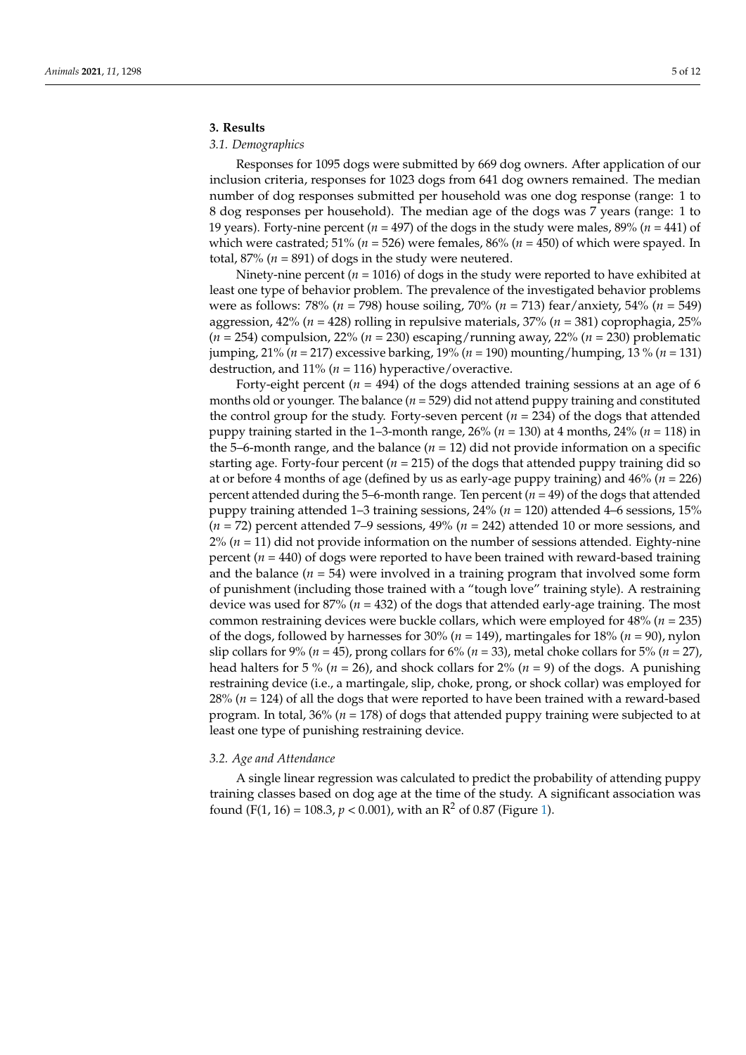# **3. Results**

## *3.1. Demographics*

Responses for 1095 dogs were submitted by 669 dog owners. After application of our inclusion criteria, responses for 1023 dogs from 641 dog owners remained. The median number of dog responses submitted per household was one dog response (range: 1 to 8 dog responses per household). The median age of the dogs was 7 years (range: 1 to 19 years). Forty-nine percent ( $n = 497$ ) of the dogs in the study were males,  $89\%$  ( $n = 441$ ) of which were castrated; 51% ( $n = 526$ ) were females, 86% ( $n = 450$ ) of which were spayed. In total,  $87\%$  ( $n = 891$ ) of dogs in the study were neutered.

Ninety-nine percent (*n* = 1016) of dogs in the study were reported to have exhibited at least one type of behavior problem. The prevalence of the investigated behavior problems were as follows: 78% (*n* = 798) house soiling, 70% (*n* = 713) fear/anxiety, 54% (*n* = 549) aggression, 42% (*n* = 428) rolling in repulsive materials, 37% (*n* = 381) coprophagia, 25% (*n* = 254) compulsion, 22% (*n* = 230) escaping/running away, 22% (*n* = 230) problematic jumping, 21% (*n* = 217) excessive barking, 19% (*n* = 190) mounting/humping, 13 % (*n* = 131) destruction, and 11% (*n* = 116) hyperactive/overactive.

Forty-eight percent ( $n = 494$ ) of the dogs attended training sessions at an age of 6 months old or younger. The balance ( $n = 529$ ) did not attend puppy training and constituted the control group for the study. Forty-seven percent  $(n = 234)$  of the dogs that attended puppy training started in the 1–3-month range, 26% (*n* = 130) at 4 months, 24% (*n* = 118) in the 5–6-month range, and the balance  $(n = 12)$  did not provide information on a specific starting age. Forty-four percent  $(n = 215)$  of the dogs that attended puppy training did so at or before 4 months of age (defined by us as early-age puppy training) and 46% (*n* = 226) percent attended during the 5–6-month range. Ten percent  $(n = 49)$  of the dogs that attended puppy training attended 1–3 training sessions, 24% (*n* = 120) attended 4–6 sessions, 15% (*n* = 72) percent attended 7–9 sessions, 49% (*n* = 242) attended 10 or more sessions, and  $2\%$  ( $n = 11$ ) did not provide information on the number of sessions attended. Eighty-nine percent  $(n = 440)$  of dogs were reported to have been trained with reward-based training and the balance  $(n = 54)$  were involved in a training program that involved some form of punishment (including those trained with a "tough love" training style). A restraining device was used for 87% (*n* = 432) of the dogs that attended early-age training. The most common restraining devices were buckle collars, which were employed for 48% (*n* = 235) of the dogs, followed by harnesses for  $30\%$  ( $n = 149$ ), martingales for  $18\%$  ( $n = 90$ ), nylon slip collars for 9% ( $n = 45$ ), prong collars for 6% ( $n = 33$ ), metal choke collars for 5% ( $n = 27$ ), head halters for 5 % ( $n = 26$ ), and shock collars for 2% ( $n = 9$ ) of the dogs. A punishing restraining device (i.e., a martingale, slip, choke, prong, or shock collar) was employed for 28% (*n* = 124) of all the dogs that were reported to have been trained with a reward-based program. In total, 36% (*n* = 178) of dogs that attended puppy training were subjected to at least one type of punishing restraining device.

### *3.2. Age and Attendance*

A single linear regression was calculated to predict the probability of attending puppy training classes based on dog age at the time of the study. A significant association was found (F(1, 16) = 108.3,  $p < 0.001$ ), with an R<sup>2</sup> of 0.87 (Figure [1\)](#page-5-0).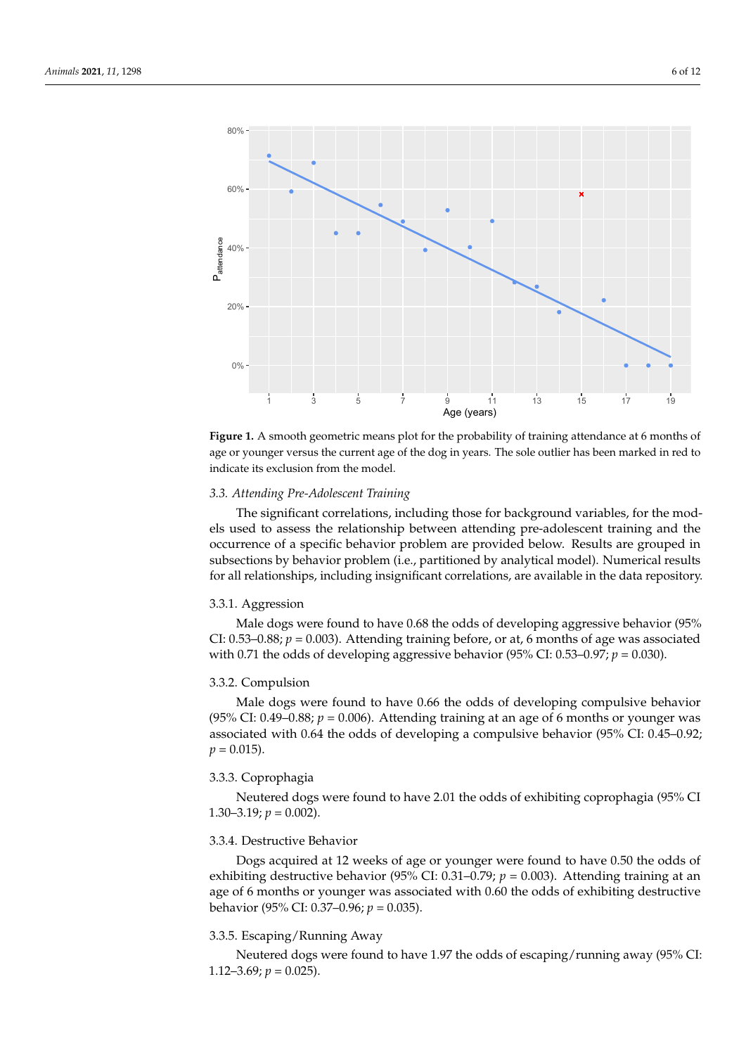<span id="page-5-0"></span>

**Figure 1.** A smooth geometric means plot for the probability of training attendance at 6 months of **Figure 1.** A smooth geometric means plot for the probability of training attendance at 6 months of age or younger versus the current age of the dog in years. The sole outlier has been marked in red to indicate its exclusion from the model.

# *3.3. Attending Pre-Adolescent Training 3.3. Attending Pre-Adolescent Training*

The significant correlations, including those for background variables, for the models used to assess the relationship between attending pre-adolescent training and the occurrence of a specific behavior problem are provided below. Results are grouped in subsections by behavior problem (i.e., partitioned by analytical model). Numerical results for all relationships, including insignificant correlations, are available in the data repository.

# 3.3.1. Aggression 3.3.1. Aggression

Male dogs were found to have 0.68 the odds of developing aggressive behavior (95% CI: 0.53–0.88; *p* = 0.003). Attending training before, or at, 6 months of age was associated  $\frac{\text{with } 0.71 \text{ the odds of davੰ.} \times \frac{0.59}{0.88}$ . CI: 0.53, 0.97;  $n = 0.030$ . with 0.71 the odds of developing aggressive behavior (95% CI: 0.53–0.97; *p* = 0.030). with 0.71 the odds of developing aggressive behavior (95% CI: 0.53–0.97; *p* = 0.030). Male dogs were found to have 0.68 the odds of developing aggressive behavior (95%

# 3.3.2. Compulsion

Male dogs were found to have 0.66 the odds of developing compulsive behavior (95% CI: 0.49–0.88;  $p = 0.006$ ). Attending training at an age of 6 months or younger was associated with 0.64 the odds of developing a compulsive behavior (95% CI: 0.45-0.92;  $p = 0.015$ .

# 3.3.3. Coprophagia 3.3.3. Coprophagia

Neutered dogs were found to have 2.01 the odds of exhibiting coprophagia (95% CI Neutered dogs were found to have 2.01 the odds of exhibiting coprophagia (95% CI 1.30–3.19; *p* = 0.002). 1.30–3.19; *p* = 0.002).

# 3.3.4. Destructive Behavior 3.3.4. Destructive Behavior

Dogs acquired at 12 weeks of age or younger were found to have 0.50 the odds of Dogs acquired at 12 weeks of age or younger were found to have 0.50 the odds of exhibiting destructive behavior (95% CI: 0.31–0.79; *p* = 0.003). Attending training at an age of 6 months or younger was associated with 0.60 the odds of exhibiting destructive havior (95% CI: 0.37–0.96; *p* = 0.035). behavior (95% CI: 0.37–0.96; *p* = 0.035).

### 3.3.5. Escaping/Running Away

Neutered dogs were found to have 1.97 the odds of escaping/running away (95% CI: 1.12–3.69;  $p = 0.025$ ).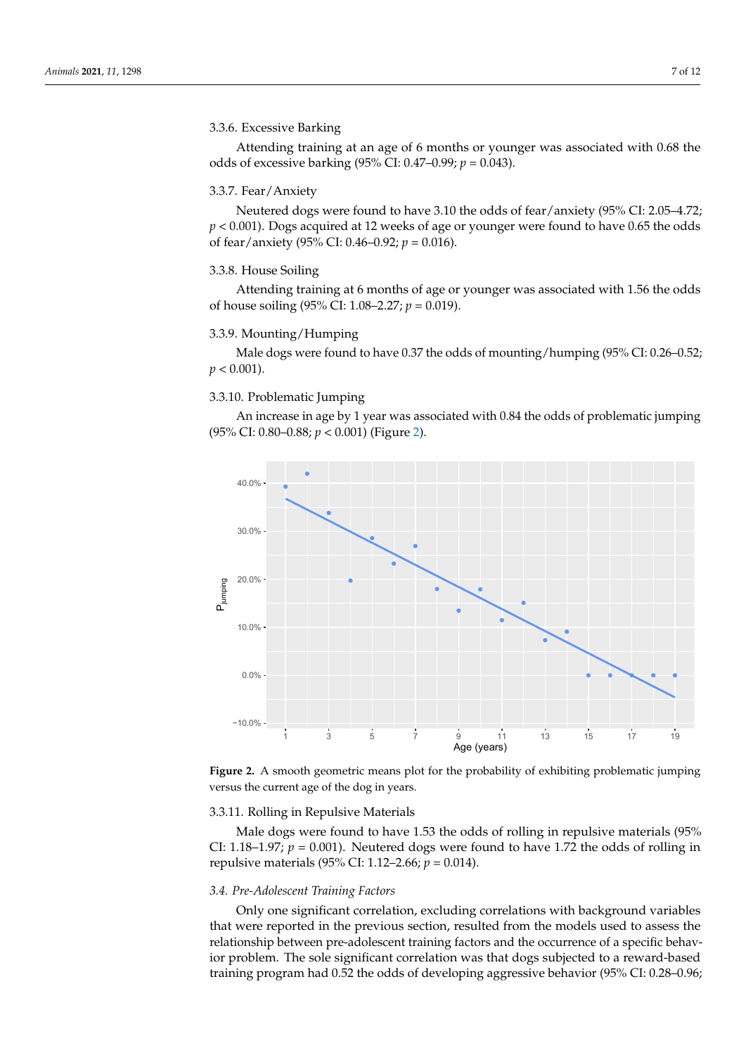# 3.3.6. Excessive Barking Neutered dogs were found to have 3.10 the odds of fear/anxiety (95% CI: 2.05–4.72; *p*

Attending training at an age of 6 months or younger was associated with 0.68 the odds of excessive barking (95% CI: 0.47–0.99; *p* = 0.043).

# 3.3.7. Fear/Anxiety

Neutered dogs were found to have 3.10 the odds of fear/anxiety (95% CI: 2.05–4.72; *p* < 0.001). Dogs acquired at 12 weeks of age or younger were found to have 0.65 the odds of fear/anxiety (95% CI: 0.46–0.92; *p* = 0.016). of house soiling (95% CI: 1.08–2.27; *p* = 0.019).

# 3.3.8. House Soiling Male dogs were found to have 0.37 the odds of mounting/humping (95% CI: 0.26–

Attending training at 6 months of age or younger was associated with 1.56 the odds of house soiling (95% CI: 1.08–2.27; *p* = 0.019).

# 3.3.9. Mounting/Humping

Male dogs were found to have 0.37 the odds of mounting/humping (95% CI: 0.26-0.52;  $p < 0.001$ ).

# 3.3.10. Problematic Jumping

An increase in age by 1 year was associated with 0.84 the odds of problematic jumping (95% CI: 0.80–0.88;  $p < 0.001$ ) (Figure 2).

<span id="page-6-0"></span>

**Figure 2.** A smooth geometric means plot for the probability of exhibiting problematic jumping **Figure 2.** A smooth geometric means plot for the probability of exhibiting problematic jumping versus the current age of the dog in years. versus the current age of the dog in years.

#### 3.3.11. Rolling in Repulsive Materials

Male dogs were found to have 1.53 the odds of rolling in repulsive materials (95% CI: 1.18–1.97;  $p = 0.001$ ). Neutered dogs were found to have 1.72 the odds of rolling in repulsive materials (95% CI: 1.12–2.66; *p* = 0.014).

#### *3.4. Pre-Adolescent Training Factors*

Only one significant correlation, excluding correlations with background variables that were reported in the previous section, resulted from the models used to assess the relationship between pre-adolescent training factors and the occurrence of a specific behavior problem. The sole significant correlation was that dogs subjected to a reward-based training program had 0.52 the odds of developing aggressive behavior (95% CI: 0.28–0.96;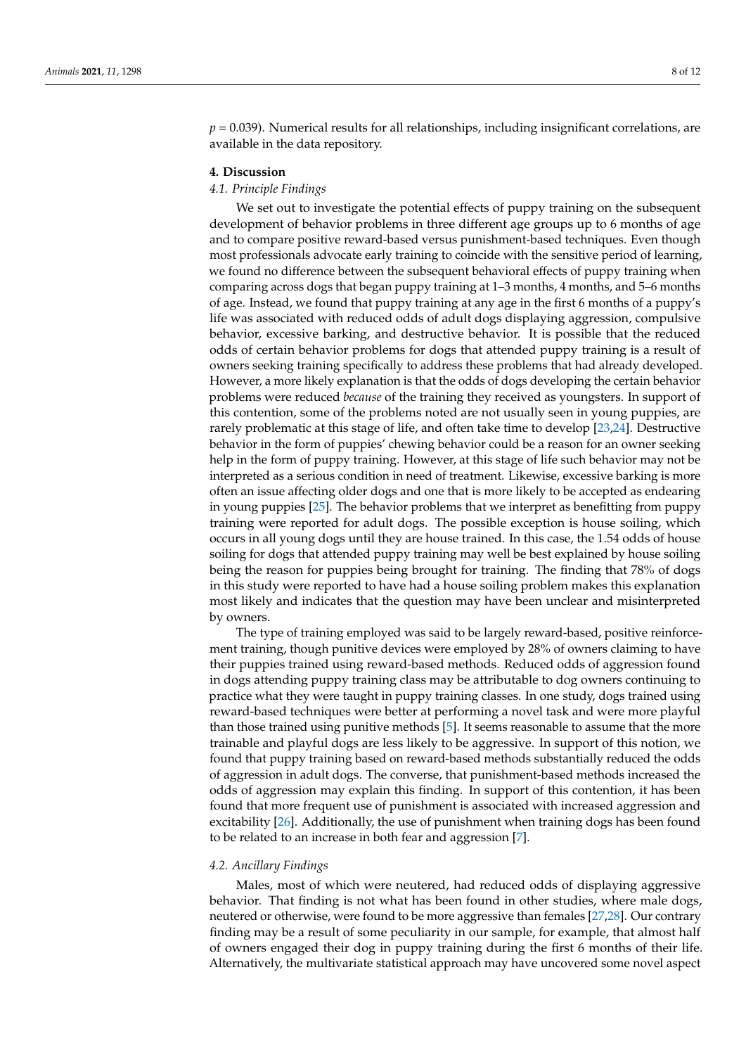$p = 0.039$ ). Numerical results for all relationships, including insignificant correlations, are available in the data repository.

### **4. Discussion**

#### *4.1. Principle Findings*

We set out to investigate the potential effects of puppy training on the subsequent development of behavior problems in three different age groups up to 6 months of age and to compare positive reward-based versus punishment-based techniques. Even though most professionals advocate early training to coincide with the sensitive period of learning, we found no difference between the subsequent behavioral effects of puppy training when comparing across dogs that began puppy training at 1–3 months, 4 months, and 5–6 months of age. Instead, we found that puppy training at any age in the first 6 months of a puppy's life was associated with reduced odds of adult dogs displaying aggression, compulsive behavior, excessive barking, and destructive behavior. It is possible that the reduced odds of certain behavior problems for dogs that attended puppy training is a result of owners seeking training specifically to address these problems that had already developed. However, a more likely explanation is that the odds of dogs developing the certain behavior problems were reduced *because* of the training they received as youngsters. In support of this contention, some of the problems noted are not usually seen in young puppies, are rarely problematic at this stage of life, and often take time to develop [\[23](#page-10-22)[,24\]](#page-10-23). Destructive behavior in the form of puppies' chewing behavior could be a reason for an owner seeking help in the form of puppy training. However, at this stage of life such behavior may not be interpreted as a serious condition in need of treatment. Likewise, excessive barking is more often an issue affecting older dogs and one that is more likely to be accepted as endearing in young puppies [\[25\]](#page-10-24). The behavior problems that we interpret as benefitting from puppy training were reported for adult dogs. The possible exception is house soiling, which occurs in all young dogs until they are house trained. In this case, the 1.54 odds of house soiling for dogs that attended puppy training may well be best explained by house soiling being the reason for puppies being brought for training. The finding that 78% of dogs in this study were reported to have had a house soiling problem makes this explanation most likely and indicates that the question may have been unclear and misinterpreted by owners.

The type of training employed was said to be largely reward-based, positive reinforcement training, though punitive devices were employed by 28% of owners claiming to have their puppies trained using reward-based methods. Reduced odds of aggression found in dogs attending puppy training class may be attributable to dog owners continuing to practice what they were taught in puppy training classes. In one study, dogs trained using reward-based techniques were better at performing a novel task and were more playful than those trained using punitive methods [\[5\]](#page-10-4). It seems reasonable to assume that the more trainable and playful dogs are less likely to be aggressive. In support of this notion, we found that puppy training based on reward-based methods substantially reduced the odds of aggression in adult dogs. The converse, that punishment-based methods increased the odds of aggression may explain this finding. In support of this contention, it has been found that more frequent use of punishment is associated with increased aggression and excitability [\[26\]](#page-10-25). Additionally, the use of punishment when training dogs has been found to be related to an increase in both fear and aggression [\[7\]](#page-10-18).

#### *4.2. Ancillary Findings*

Males, most of which were neutered, had reduced odds of displaying aggressive behavior. That finding is not what has been found in other studies, where male dogs, neutered or otherwise, were found to be more aggressive than females [\[27,](#page-10-26)[28\]](#page-10-27). Our contrary finding may be a result of some peculiarity in our sample, for example, that almost half of owners engaged their dog in puppy training during the first 6 months of their life. Alternatively, the multivariate statistical approach may have uncovered some novel aspect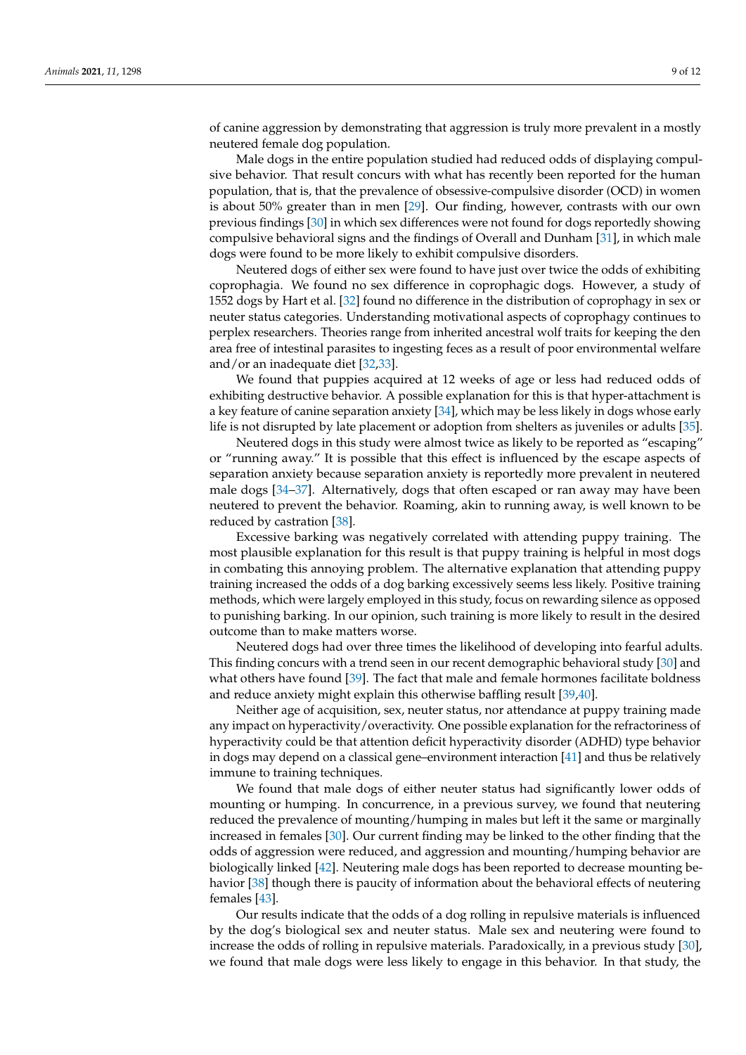of canine aggression by demonstrating that aggression is truly more prevalent in a mostly neutered female dog population.

Male dogs in the entire population studied had reduced odds of displaying compulsive behavior. That result concurs with what has recently been reported for the human population, that is, that the prevalence of obsessive-compulsive disorder (OCD) in women is about 50% greater than in men [\[29\]](#page-10-28). Our finding, however, contrasts with our own previous findings [\[30\]](#page-10-29) in which sex differences were not found for dogs reportedly showing compulsive behavioral signs and the findings of Overall and Dunham [\[31\]](#page-11-0), in which male dogs were found to be more likely to exhibit compulsive disorders.

Neutered dogs of either sex were found to have just over twice the odds of exhibiting coprophagia. We found no sex difference in coprophagic dogs. However, a study of 1552 dogs by Hart et al. [\[32\]](#page-11-1) found no difference in the distribution of coprophagy in sex or neuter status categories. Understanding motivational aspects of coprophagy continues to perplex researchers. Theories range from inherited ancestral wolf traits for keeping the den area free of intestinal parasites to ingesting feces as a result of poor environmental welfare and/or an inadequate diet [\[32,](#page-11-1)[33\]](#page-11-2).

We found that puppies acquired at 12 weeks of age or less had reduced odds of exhibiting destructive behavior. A possible explanation for this is that hyper-attachment is a key feature of canine separation anxiety [\[34\]](#page-11-3), which may be less likely in dogs whose early life is not disrupted by late placement or adoption from shelters as juveniles or adults [\[35\]](#page-11-4).

Neutered dogs in this study were almost twice as likely to be reported as "escaping" or "running away." It is possible that this effect is influenced by the escape aspects of separation anxiety because separation anxiety is reportedly more prevalent in neutered male dogs [\[34–](#page-11-3)[37\]](#page-11-5). Alternatively, dogs that often escaped or ran away may have been neutered to prevent the behavior. Roaming, akin to running away, is well known to be reduced by castration [\[38\]](#page-11-6).

Excessive barking was negatively correlated with attending puppy training. The most plausible explanation for this result is that puppy training is helpful in most dogs in combating this annoying problem. The alternative explanation that attending puppy training increased the odds of a dog barking excessively seems less likely. Positive training methods, which were largely employed in this study, focus on rewarding silence as opposed to punishing barking. In our opinion, such training is more likely to result in the desired outcome than to make matters worse.

Neutered dogs had over three times the likelihood of developing into fearful adults. This finding concurs with a trend seen in our recent demographic behavioral study [\[30\]](#page-10-29) and what others have found [\[39\]](#page-11-7). The fact that male and female hormones facilitate boldness and reduce anxiety might explain this otherwise baffling result [\[39,](#page-11-7)[40\]](#page-11-8).

Neither age of acquisition, sex, neuter status, nor attendance at puppy training made any impact on hyperactivity/overactivity. One possible explanation for the refractoriness of hyperactivity could be that attention deficit hyperactivity disorder (ADHD) type behavior in dogs may depend on a classical gene–environment interaction [\[41\]](#page-11-9) and thus be relatively immune to training techniques.

We found that male dogs of either neuter status had significantly lower odds of mounting or humping. In concurrence, in a previous survey, we found that neutering reduced the prevalence of mounting/humping in males but left it the same or marginally increased in females [\[30\]](#page-10-29). Our current finding may be linked to the other finding that the odds of aggression were reduced, and aggression and mounting/humping behavior are biologically linked [\[42\]](#page-11-10). Neutering male dogs has been reported to decrease mounting behavior [\[38\]](#page-11-6) though there is paucity of information about the behavioral effects of neutering females [\[43\]](#page-11-11).

Our results indicate that the odds of a dog rolling in repulsive materials is influenced by the dog's biological sex and neuter status. Male sex and neutering were found to increase the odds of rolling in repulsive materials. Paradoxically, in a previous study [\[30\]](#page-10-29), we found that male dogs were less likely to engage in this behavior. In that study, the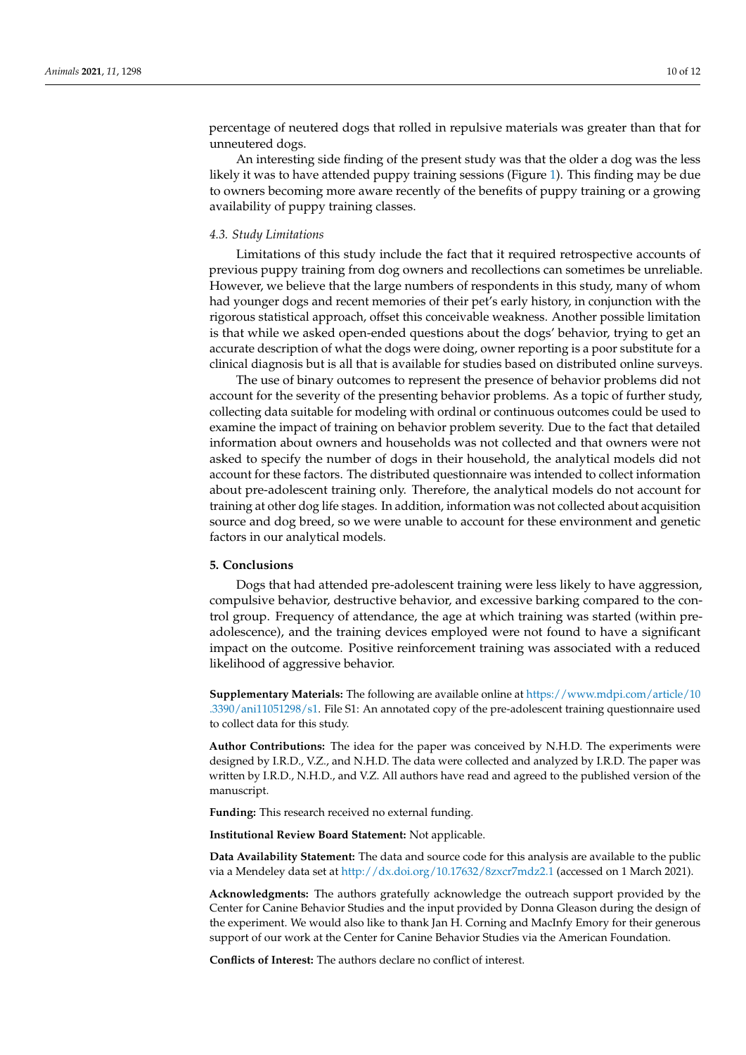percentage of neutered dogs that rolled in repulsive materials was greater than that for unneutered dogs.

An interesting side finding of the present study was that the older a dog was the less likely it was to have attended puppy training sessions (Figure [1\)](#page-5-0). This finding may be due to owners becoming more aware recently of the benefits of puppy training or a growing availability of puppy training classes.

#### *4.3. Study Limitations*

Limitations of this study include the fact that it required retrospective accounts of previous puppy training from dog owners and recollections can sometimes be unreliable. However, we believe that the large numbers of respondents in this study, many of whom had younger dogs and recent memories of their pet's early history, in conjunction with the rigorous statistical approach, offset this conceivable weakness. Another possible limitation is that while we asked open-ended questions about the dogs' behavior, trying to get an accurate description of what the dogs were doing, owner reporting is a poor substitute for a clinical diagnosis but is all that is available for studies based on distributed online surveys.

The use of binary outcomes to represent the presence of behavior problems did not account for the severity of the presenting behavior problems. As a topic of further study, collecting data suitable for modeling with ordinal or continuous outcomes could be used to examine the impact of training on behavior problem severity. Due to the fact that detailed information about owners and households was not collected and that owners were not asked to specify the number of dogs in their household, the analytical models did not account for these factors. The distributed questionnaire was intended to collect information about pre-adolescent training only. Therefore, the analytical models do not account for training at other dog life stages. In addition, information was not collected about acquisition source and dog breed, so we were unable to account for these environment and genetic factors in our analytical models.

#### **5. Conclusions**

Dogs that had attended pre-adolescent training were less likely to have aggression, compulsive behavior, destructive behavior, and excessive barking compared to the control group. Frequency of attendance, the age at which training was started (within preadolescence), and the training devices employed were not found to have a significant impact on the outcome. Positive reinforcement training was associated with a reduced likelihood of aggressive behavior.

**Supplementary Materials:** The following are available online at [https://www.mdpi.com/article/10](https://www.mdpi.com/article/10.3390/ani11051298/s1) [.3390/ani11051298/s1.](https://www.mdpi.com/article/10.3390/ani11051298/s1) File S1: An annotated copy of the pre-adolescent training questionnaire used to collect data for this study.

**Author Contributions:** The idea for the paper was conceived by N.H.D. The experiments were designed by I.R.D., V.Z., and N.H.D. The data were collected and analyzed by I.R.D. The paper was written by I.R.D., N.H.D., and V.Z. All authors have read and agreed to the published version of the manuscript.

**Funding:** This research received no external funding.

**Institutional Review Board Statement:** Not applicable.

**Data Availability Statement:** The data and source code for this analysis are available to the public via a Mendeley data set at <http://dx.doi.org/10.17632/8zxcr7mdz2.1> (accessed on 1 March 2021).

**Acknowledgments:** The authors gratefully acknowledge the outreach support provided by the Center for Canine Behavior Studies and the input provided by Donna Gleason during the design of the experiment. We would also like to thank Jan H. Corning and MacInfy Emory for their generous support of our work at the Center for Canine Behavior Studies via the American Foundation.

**Conflicts of Interest:** The authors declare no conflict of interest.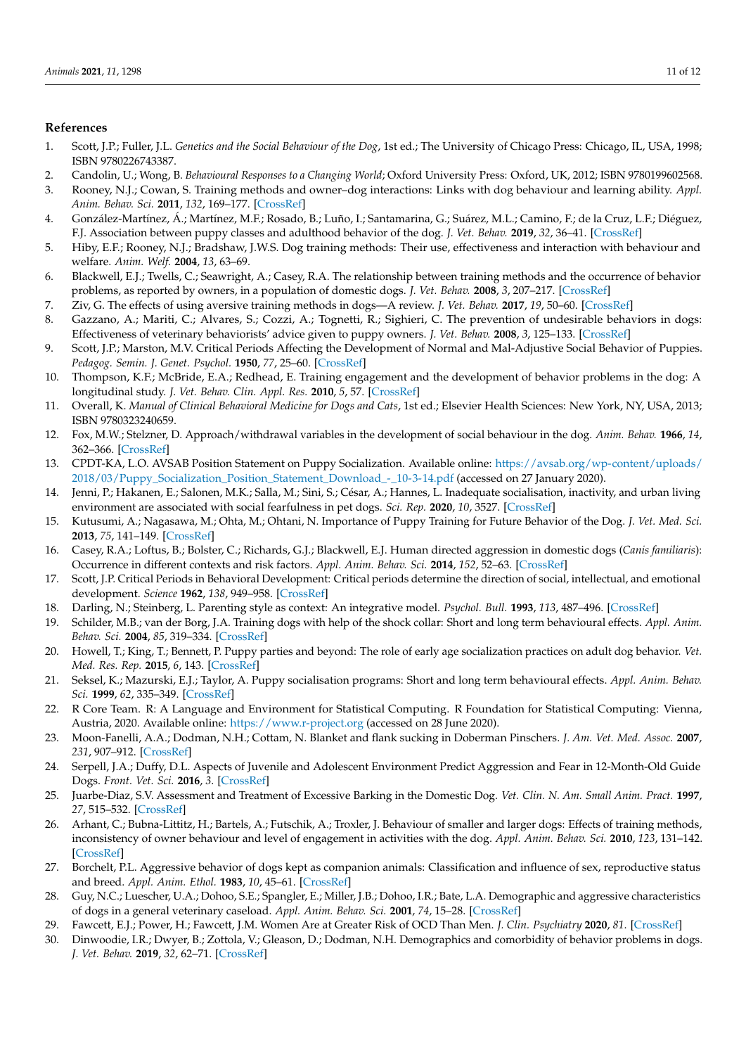# **References**

- <span id="page-10-0"></span>1. Scott, J.P.; Fuller, J.L. *Genetics and the Social Behaviour of the Dog*, 1st ed.; The University of Chicago Press: Chicago, IL, USA, 1998; ISBN 9780226743387.
- <span id="page-10-1"></span>2. Candolin, U.; Wong, B. *Behavioural Responses to a Changing World*; Oxford University Press: Oxford, UK, 2012; ISBN 9780199602568.
- <span id="page-10-2"></span>3. Rooney, N.J.; Cowan, S. Training methods and owner–dog interactions: Links with dog behaviour and learning ability. *Appl. Anim. Behav. Sci.* **2011**, *132*, 169–177. [\[CrossRef\]](http://doi.org/10.1016/j.applanim.2011.03.007)
- <span id="page-10-3"></span>4. González-Martínez, Á.; Martínez, M.F.; Rosado, B.; Luño, I.; Santamarina, G.; Suárez, M.L.; Camino, F.; de la Cruz, L.F.; Diéguez, F.J. Association between puppy classes and adulthood behavior of the dog. *J. Vet. Behav.* **2019**, *32*, 36–41. [\[CrossRef\]](http://doi.org/10.1016/j.jveb.2019.04.011)
- <span id="page-10-4"></span>5. Hiby, E.F.; Rooney, N.J.; Bradshaw, J.W.S. Dog training methods: Their use, effectiveness and interaction with behaviour and welfare. *Anim. Welf.* **2004**, *13*, 63–69.
- <span id="page-10-15"></span>6. Blackwell, E.J.; Twells, C.; Seawright, A.; Casey, R.A. The relationship between training methods and the occurrence of behavior problems, as reported by owners, in a population of domestic dogs. *J. Vet. Behav.* **2008**, *3*, 207–217. [\[CrossRef\]](http://doi.org/10.1016/j.jveb.2007.10.008)
- <span id="page-10-18"></span>7. Ziv, G. The effects of using aversive training methods in dogs—A review. *J. Vet. Behav.* **2017**, *19*, 50–60. [\[CrossRef\]](http://doi.org/10.1016/j.jveb.2017.02.004)
- <span id="page-10-5"></span>8. Gazzano, A.; Mariti, C.; Alvares, S.; Cozzi, A.; Tognetti, R.; Sighieri, C. The prevention of undesirable behaviors in dogs: Effectiveness of veterinary behaviorists' advice given to puppy owners. *J. Vet. Behav.* **2008**, *3*, 125–133. [\[CrossRef\]](http://doi.org/10.1016/j.jveb.2008.04.004)
- <span id="page-10-6"></span>9. Scott, J.P.; Marston, M.V. Critical Periods Affecting the Development of Normal and Mal-Adjustive Social Behavior of Puppies. *Pedagog. Semin. J. Genet. Psychol.* **1950**, *77*, 25–60. [\[CrossRef\]](http://doi.org/10.1080/08856559.1950.10533536)
- <span id="page-10-7"></span>10. Thompson, K.F.; McBride, E.A.; Redhead, E. Training engagement and the development of behavior problems in the dog: A longitudinal study. *J. Vet. Behav. Clin. Appl. Res.* **2010**, *5*, 57. [\[CrossRef\]](http://doi.org/10.1016/j.jveb.2009.09.013)
- <span id="page-10-8"></span>11. Overall, K. *Manual of Clinical Behavioral Medicine for Dogs and Cats*, 1st ed.; Elsevier Health Sciences: New York, NY, USA, 2013; ISBN 9780323240659.
- <span id="page-10-9"></span>12. Fox, M.W.; Stelzner, D. Approach/withdrawal variables in the development of social behaviour in the dog. *Anim. Behav.* **1966**, *14*, 362–366. [\[CrossRef\]](http://doi.org/10.1016/S0003-3472(66)80098-2)
- <span id="page-10-10"></span>13. CPDT-KA, L.O. AVSAB Position Statement on Puppy Socialization. Available online: [https://avsab.org/wp-content/uploads/](https://avsab.org/wp-content/uploads/2018/03/Puppy_Socialization_Position_Statement_Download_-_10-3-14.pdf) [2018/03/Puppy\\_Socialization\\_Position\\_Statement\\_Download\\_-\\_10-3-14.pdf](https://avsab.org/wp-content/uploads/2018/03/Puppy_Socialization_Position_Statement_Download_-_10-3-14.pdf) (accessed on 27 January 2020).
- <span id="page-10-11"></span>14. Jenni, P.; Hakanen, E.; Salonen, M.K.; Salla, M.; Sini, S.; César, A.; Hannes, L. Inadequate socialisation, inactivity, and urban living environment are associated with social fearfulness in pet dogs. *Sci. Rep.* **2020**, *10*, 3527. [\[CrossRef\]](http://doi.org/10.1038/s41598-020-60546-w)
- <span id="page-10-12"></span>15. Kutusumi, A.; Nagasawa, M.; Ohta, M.; Ohtani, N. Importance of Puppy Training for Future Behavior of the Dog. *J. Vet. Med. Sci.* **2013**, *75*, 141–149. [\[CrossRef\]](http://doi.org/10.1292/jvms.12-0008)
- <span id="page-10-13"></span>16. Casey, R.A.; Loftus, B.; Bolster, C.; Richards, G.J.; Blackwell, E.J. Human directed aggression in domestic dogs (*Canis familiaris*): Occurrence in different contexts and risk factors. *Appl. Anim. Behav. Sci.* **2014**, *152*, 52–63. [\[CrossRef\]](http://doi.org/10.1016/j.applanim.2013.12.003)
- <span id="page-10-14"></span>17. Scott, J.P. Critical Periods in Behavioral Development: Critical periods determine the direction of social, intellectual, and emotional development. *Science* **1962**, *138*, 949–958. [\[CrossRef\]](http://doi.org/10.1126/science.138.3544.949)
- <span id="page-10-16"></span>18. Darling, N.; Steinberg, L. Parenting style as context: An integrative model. *Psychol. Bull.* **1993**, *113*, 487–496. [\[CrossRef\]](http://doi.org/10.1037/0033-2909.113.3.487)
- <span id="page-10-17"></span>19. Schilder, M.B.; van der Borg, J.A. Training dogs with help of the shock collar: Short and long term behavioural effects. *Appl. Anim. Behav. Sci.* **2004**, *85*, 319–334. [\[CrossRef\]](http://doi.org/10.1016/j.applanim.2003.10.004)
- <span id="page-10-19"></span>20. Howell, T.; King, T.; Bennett, P. Puppy parties and beyond: The role of early age socialization practices on adult dog behavior. *Vet. Med. Res. Rep.* **2015**, *6*, 143. [\[CrossRef\]](http://doi.org/10.2147/VMRR.S62081)
- <span id="page-10-20"></span>21. Seksel, K.; Mazurski, E.J.; Taylor, A. Puppy socialisation programs: Short and long term behavioural effects. *Appl. Anim. Behav. Sci.* **1999**, *62*, 335–349. [\[CrossRef\]](http://doi.org/10.1016/S0168-1591(98)00232-9)
- <span id="page-10-21"></span>22. R Core Team. R: A Language and Environment for Statistical Computing. R Foundation for Statistical Computing: Vienna, Austria, 2020. Available online: <https://www.r-project.org> (accessed on 28 June 2020).
- <span id="page-10-22"></span>23. Moon-Fanelli, A.A.; Dodman, N.H.; Cottam, N. Blanket and flank sucking in Doberman Pinschers. *J. Am. Vet. Med. Assoc.* **2007**, *231*, 907–912. [\[CrossRef\]](http://doi.org/10.2460/javma.231.6.907)
- <span id="page-10-23"></span>24. Serpell, J.A.; Duffy, D.L. Aspects of Juvenile and Adolescent Environment Predict Aggression and Fear in 12-Month-Old Guide Dogs. *Front. Vet. Sci.* **2016**, *3*. [\[CrossRef\]](http://doi.org/10.3389/fvets.2016.00049)
- <span id="page-10-24"></span>25. Juarbe-Diaz, S.V. Assessment and Treatment of Excessive Barking in the Domestic Dog. *Vet. Clin. N. Am. Small Anim. Pract.* **1997**, *27*, 515–532. [\[CrossRef\]](http://doi.org/10.1016/S0195-5616(97)50052-0)
- <span id="page-10-25"></span>26. Arhant, C.; Bubna-Littitz, H.; Bartels, A.; Futschik, A.; Troxler, J. Behaviour of smaller and larger dogs: Effects of training methods, inconsistency of owner behaviour and level of engagement in activities with the dog. *Appl. Anim. Behav. Sci.* **2010**, *123*, 131–142. [\[CrossRef\]](http://doi.org/10.1016/j.applanim.2010.01.003)
- <span id="page-10-26"></span>27. Borchelt, P.L. Aggressive behavior of dogs kept as companion animals: Classification and influence of sex, reproductive status and breed. *Appl. Anim. Ethol.* **1983**, *10*, 45–61. [\[CrossRef\]](http://doi.org/10.1016/0304-3762(83)90111-6)
- <span id="page-10-27"></span>28. Guy, N.C.; Luescher, U.A.; Dohoo, S.E.; Spangler, E.; Miller, J.B.; Dohoo, I.R.; Bate, L.A. Demographic and aggressive characteristics of dogs in a general veterinary caseload. *Appl. Anim. Behav. Sci.* **2001**, *74*, 15–28. [\[CrossRef\]](http://doi.org/10.1016/S0168-1591(01)00153-8)
- <span id="page-10-28"></span>29. Fawcett, E.J.; Power, H.; Fawcett, J.M. Women Are at Greater Risk of OCD Than Men. *J. Clin. Psychiatry* **2020**, *81*. [\[CrossRef\]](http://doi.org/10.4088/JCP.19r13085)
- <span id="page-10-29"></span>30. Dinwoodie, I.R.; Dwyer, B.; Zottola, V.; Gleason, D.; Dodman, N.H. Demographics and comorbidity of behavior problems in dogs. *J. Vet. Behav.* **2019**, *32*, 62–71. [\[CrossRef\]](http://doi.org/10.1016/j.jveb.2019.04.007)